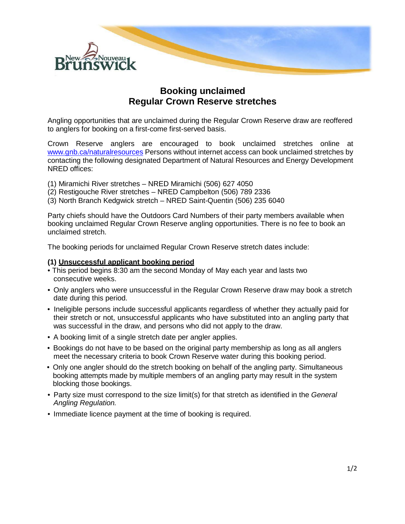

## **Booking unclaimed Regular Crown Reserve stretches**

Angling opportunities that are unclaimed during the Regular Crown Reserve draw are reoffered to anglers for booking on a first-come first-served basis.

Crown Reserve anglers are encouraged to book unclaimed stretches online at [www.gnb.ca/naturalresources](http://www.gnb.ca/naturalresources) Persons without internet access can book unclaimed stretches by contacting the following designated Department of Natural Resources and Energy Development NRED offices:

- (1) Miramichi River stretches NRED Miramichi (506) 627 4050
- (2) Restigouche River stretches NRED Campbelton (506) 789 2336
- (3) North Branch Kedgwick stretch NRED Saint-Quentin (506) 235 6040

Party chiefs should have the Outdoors Card Numbers of their party members available when booking unclaimed Regular Crown Reserve angling opportunities. There is no fee to book an unclaimed stretch.

The booking periods for unclaimed Regular Crown Reserve stretch dates include:

## **(1) Unsuccessful applicant booking period**

- This period begins 8:30 am the second Monday of May each year and lasts two consecutive weeks.
- Only anglers who were unsuccessful in the Regular Crown Reserve draw may book a stretch date during this period.
- Ineligible persons include successful applicants regardless of whether they actually paid for their stretch or not, unsuccessful applicants who have substituted into an angling party that was successful in the draw, and persons who did not apply to the draw.
- A booking limit of a single stretch date per angler applies.
- Bookings do not have to be based on the original party membership as long as all anglers meet the necessary criteria to book Crown Reserve water during this booking period.
- Only one angler should do the stretch booking on behalf of the angling party. Simultaneous booking attempts made by multiple members of an angling party may result in the system blocking those bookings.
- Party size must correspond to the size limit(s) for that stretch as identified in the *General Angling Regulation.*
- Immediate licence payment at the time of booking is required.